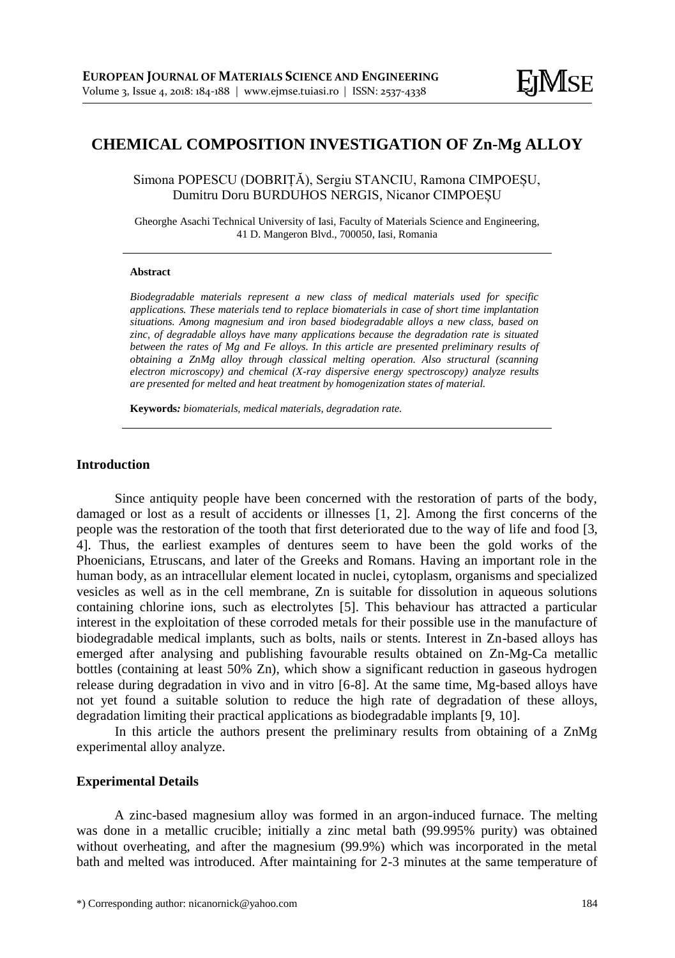# **CHEMICAL COMPOSITION INVESTIGATION OF Zn-Mg ALLOY**

Simona POPESCU (DOBRIȚĂ), Sergiu STANCIU, Ramona CIMPOEȘU, Dumitru Doru BURDUHOS NERGIS, Nicanor CIMPOEȘU

Gheorghe Asachi Technical University of Iasi, Faculty of Materials Science and Engineering, 41 D. Mangeron Blvd., 700050, Iasi, Romania

#### **Abstract**

*Biodegradable materials represent a new class of medical materials used for specific applications. These materials tend to replace biomaterials in case of short time implantation situations. Among magnesium and iron based biodegradable alloys a new class, based on zinc, of degradable alloys have many applications because the degradation rate is situated between the rates of Mg and Fe alloys. In this article are presented preliminary results of obtaining a ZnMg alloy through classical melting operation. Also structural (scanning electron microscopy) and chemical (X-ray dispersive energy spectroscopy) analyze results are presented for melted and heat treatment by homogenization states of material.*

**Keywords***: biomaterials, medical materials, degradation rate.*

# **Introduction**

Since antiquity people have been concerned with the restoration of parts of the body, damaged or lost as a result of accidents or illnesses [1, 2]. Among the first concerns of the people was the restoration of the tooth that first deteriorated due to the way of life and food [3, 4]. Thus, the earliest examples of dentures seem to have been the gold works of the Phoenicians, Etruscans, and later of the Greeks and Romans. Having an important role in the human body, as an intracellular element located in nuclei, cytoplasm, organisms and specialized vesicles as well as in the cell membrane, Zn is suitable for dissolution in aqueous solutions containing chlorine ions, such as electrolytes [5]. This behaviour has attracted a particular interest in the exploitation of these corroded metals for their possible use in the manufacture of biodegradable medical implants, such as bolts, nails or stents. Interest in Zn-based alloys has emerged after analysing and publishing favourable results obtained on Zn-Mg-Ca metallic bottles (containing at least 50% Zn), which show a significant reduction in gaseous hydrogen release during degradation in vivo and in vitro [6-8]. At the same time, Mg-based alloys have not yet found a suitable solution to reduce the high rate of degradation of these alloys, degradation limiting their practical applications as biodegradable implants [9, 10].

In this article the authors present the preliminary results from obtaining of a ZnMg experimental alloy analyze.

# **Experimental Details**

A zinc-based magnesium alloy was formed in an argon-induced furnace. The melting was done in a metallic crucible; initially a zinc metal bath (99.995% purity) was obtained without overheating, and after the magnesium (99.9%) which was incorporated in the metal bath and melted was introduced. After maintaining for 2-3 minutes at the same temperature of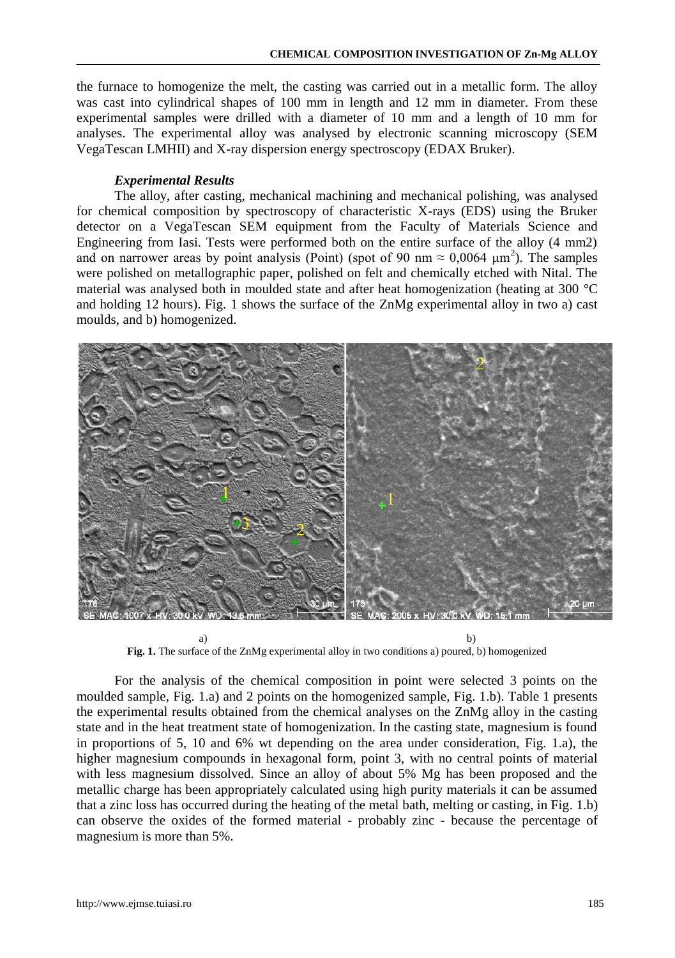the furnace to homogenize the melt, the casting was carried out in a metallic form. The alloy was cast into cylindrical shapes of 100 mm in length and 12 mm in diameter. From these experimental samples were drilled with a diameter of 10 mm and a length of 10 mm for analyses. The experimental alloy was analysed by electronic scanning microscopy (SEM VegaTescan LMHII) and X-ray dispersion energy spectroscopy (EDAX Bruker).

# *Experimental Results*

The alloy, after casting, mechanical machining and mechanical polishing, was analysed for chemical composition by spectroscopy of characteristic X-rays (EDS) using the Bruker detector on a VegaTescan SEM equipment from the Faculty of Materials Science and Engineering from Iasi. Tests were performed both on the entire surface of the alloy (4 mm2) and on narrower areas by point analysis (Point) (spot of 90 nm  $\approx 0,0064 \mu m^2$ ). The samples were polished on metallographic paper, polished on felt and chemically etched with Nital. The material was analysed both in moulded state and after heat homogenization (heating at 300 °C and holding 12 hours). Fig. 1 shows the surface of the ZnMg experimental alloy in two a) cast moulds, and b) homogenized.



a) b) **Fig. 1.** The surface of the ZnMg experimental alloy in two conditions a) poured, b) homogenized

For the analysis of the chemical composition in point were selected 3 points on the moulded sample, Fig. 1.a) and 2 points on the homogenized sample, Fig. 1.b). Table 1 presents the experimental results obtained from the chemical analyses on the ZnMg alloy in the casting state and in the heat treatment state of homogenization. In the casting state, magnesium is found in proportions of 5, 10 and 6% wt depending on the area under consideration, Fig. 1.a), the higher magnesium compounds in hexagonal form, point 3, with no central points of material with less magnesium dissolved. Since an alloy of about 5% Mg has been proposed and the metallic charge has been appropriately calculated using high purity materials it can be assumed that a zinc loss has occurred during the heating of the metal bath, melting or casting, in Fig. 1.b) can observe the oxides of the formed material - probably zinc - because the percentage of magnesium is more than 5%.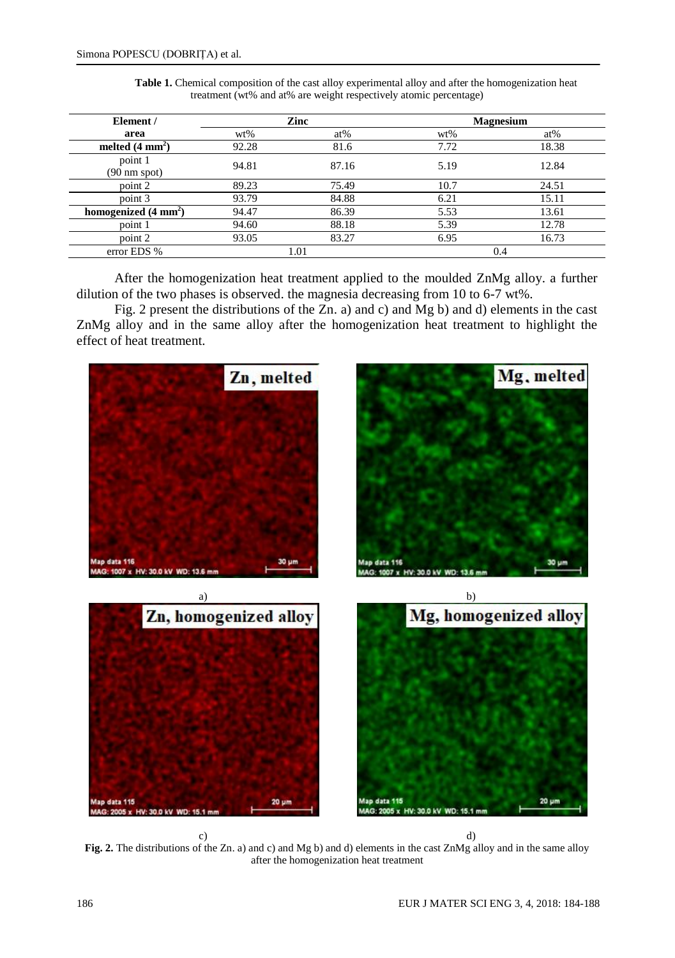| Element /                         | Zinc   |        | <b>Magnesium</b> |        |
|-----------------------------------|--------|--------|------------------|--------|
| area                              | $wt\%$ | $at\%$ | $wt\%$           | $at\%$ |
| melted $(4 \text{ mm}^2)$         | 92.28  | 81.6   | 7.72             | 18.38  |
| point 1<br>$(90 \text{ nm spot})$ | 94.81  | 87.16  | 5.19             | 12.84  |
| point 2                           | 89.23  | 75.49  | 10.7             | 24.51  |
| point 3                           | 93.79  | 84.88  | 6.21             | 15.11  |
| homogenized $(4 \text{ mm}^2)$    | 94.47  | 86.39  | 5.53             | 13.61  |
| point 1                           | 94.60  | 88.18  | 5.39             | 12.78  |
| point 2                           | 93.05  | 83.27  | 6.95             | 16.73  |
| error EDS %                       | 1.01   |        | 0.4              |        |

**Table 1.** Chemical composition of the cast alloy experimental alloy and after the homogenization heat treatment (wt% and at% are weight respectively atomic percentage)

After the homogenization heat treatment applied to the moulded ZnMg alloy. a further dilution of the two phases is observed. the magnesia decreasing from 10 to 6-7 wt%.

Fig. 2 present the distributions of the Zn. a) and c) and Mg b) and d) elements in the cast ZnMg alloy and in the same alloy after the homogenization heat treatment to highlight the effect of heat treatment.



c)  $\qquad \qquad d)$ **Fig. 2.** The distributions of the Zn. a) and c) and Mg b) and d) elements in the cast ZnMg alloy and in the same alloy after the homogenization heat treatment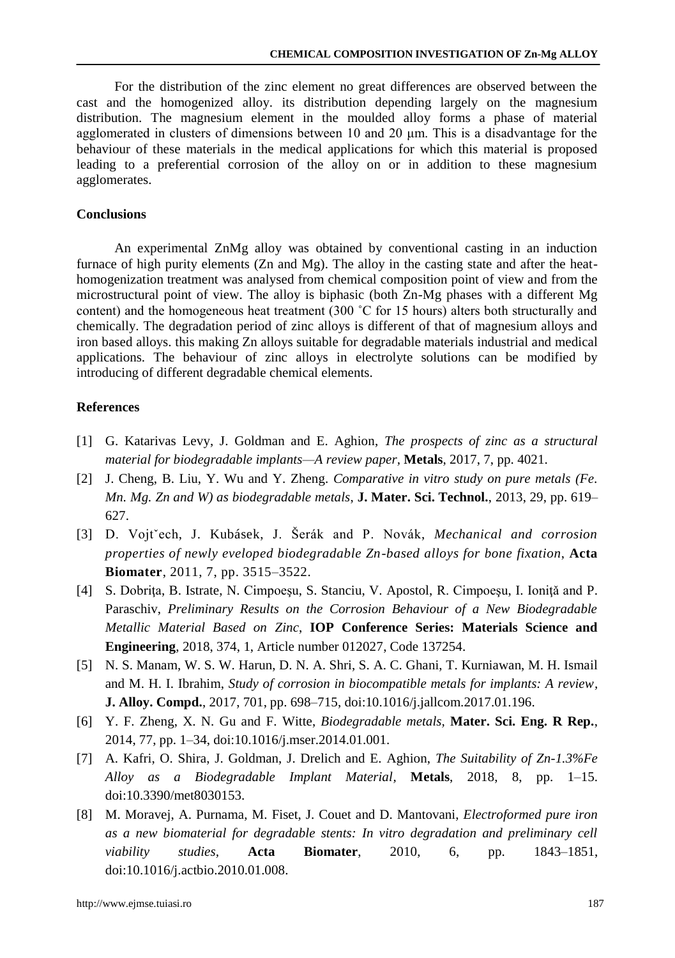For the distribution of the zinc element no great differences are observed between the cast and the homogenized alloy. its distribution depending largely on the magnesium distribution. The magnesium element in the moulded alloy forms a phase of material agglomerated in clusters of dimensions between 10 and 20 μm. This is a disadvantage for the behaviour of these materials in the medical applications for which this material is proposed leading to a preferential corrosion of the alloy on or in addition to these magnesium agglomerates.

# **Conclusions**

An experimental ZnMg alloy was obtained by conventional casting in an induction furnace of high purity elements (Zn and Mg). The alloy in the casting state and after the heathomogenization treatment was analysed from chemical composition point of view and from the microstructural point of view. The alloy is biphasic (both Zn-Mg phases with a different Mg content) and the homogeneous heat treatment (300 ˚C for 15 hours) alters both structurally and chemically. The degradation period of zinc alloys is different of that of magnesium alloys and iron based alloys. this making Zn alloys suitable for degradable materials industrial and medical applications. The behaviour of zinc alloys in electrolyte solutions can be modified by introducing of different degradable chemical elements.

## **References**

- [1] G. Katarivas Levy, J. Goldman and E. Aghion, *The prospects of zinc as a structural material for biodegradable implants—A review paper,* **Metals**, 2017, 7, pp. 4021.
- [2] J. Cheng, B. Liu, Y. Wu and Y. Zheng. *Comparative in vitro study on pure metals (Fe. Mn. Mg. Zn and W) as biodegradable metals*, **J. Mater. Sci. Technol.**, 2013, 29, pp. 619– 627.
- [3] D. Vojtˇech, J. Kubásek, J. Šerák and P. Novák, *Mechanical and corrosion properties of newly eveloped biodegradable Zn-based alloys for bone fixation*, **Acta Biomater**, 2011, 7, pp. 3515–3522.
- [4] S. Dobriţa, B. Istrate, N. Cimpoeşu, S. Stanciu, V. Apostol, R. Cimpoeşu, I. Ioniţǎ and P. Paraschiv, *Preliminary Results on the Corrosion Behaviour of a New Biodegradable Metallic Material Based on Zinc*, **IOP Conference Series: Materials Science and Engineering**, 2018, 374, 1, Article number 012027, Code 137254.
- [5] N. S. Manam, W. S. W. Harun, D. N. A. Shri, S. A. C. Ghani, T. Kurniawan, M. H. Ismail and M. H. I. Ibrahim, *Study of corrosion in biocompatible metals for implants: A review,* **J. Alloy. Compd.**, 2017, 701, pp. 698–715, doi:10.1016/j.jallcom.2017.01.196.
- [6] Y. F. Zheng, X. N. Gu and F. Witte, *Biodegradable metals,* **Mater. Sci. Eng. R Rep.**, 2014, 77, pp. 1–34, doi:10.1016/j.mser.2014.01.001.
- [7] A. Kafri, O. Shira, J. Goldman, J. Drelich and E. Aghion, *The Suitability of Zn-1.3%Fe Alloy as a Biodegradable Implant Material,* **Metals**, 2018, 8, pp. 1–15. doi:10.3390/met8030153.
- [8] M. Moravej, A. Purnama, M. Fiset, J. Couet and D. Mantovani, *Electroformed pure iron as a new biomaterial for degradable stents: In vitro degradation and preliminary cell viability studies,* **Acta Biomater**, 2010, 6, pp. 1843–1851, doi:10.1016/j.actbio.2010.01.008.